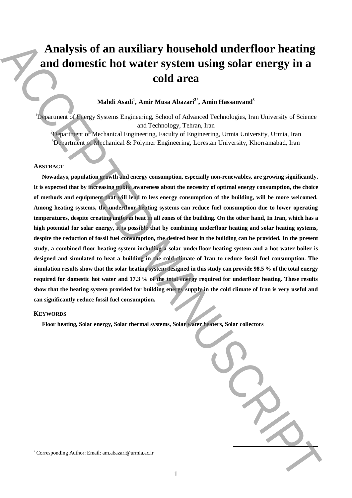# **Analysis of an auxiliary household underfloor heating and domestic hot water system using solar energy in a cold area**

## **Mahdi Asadi<sup>1</sup> , Amir Musa Abazari<sup>2</sup>**\* **, Amin Hassanvand<sup>3</sup>**

<sup>1</sup>Department of Energy Systems Engineering, School of Advanced Technologies, Iran University of Science and Technology, Tehran, Iran

<sup>2</sup>Department of Mechanical Engineering, Faculty of Engineering, Urmia University, Urmia, Iran <sup>3</sup>Department of Mechanical & Polymer Engineering, Lorestan University, Khorramabad, Iran

#### **ABSTRACT**

**Nowadays, population growth and energy consumption, especially non-renewables, are growing significantly. It is expected that by increasing public awareness about the necessity of optimal energy consumption, the choice of methods and equipment that will lead to less energy consumption of the building, will be more welcomed. Among heating systems, the underfloor heating systems can reduce fuel consumption due to lower operating temperatures, despite creating uniform heat in all zones of the building. On the other hand, In Iran, which has a high potential for solar energy, it is possible that by combining underfloor heating and solar heating systems, despite the reduction of fossil fuel consumption, the desired heat in the building can be provided. In the present study, a combined floor heating system including a solar underfloor heating system and a hot water boiler is designed and simulated to heat a building in the cold climate of Iran to reduce fossil fuel consumption. The simulation results show that the solar heating system designed in this study can provide 98.5 % of the total energy required for domestic hot water and 17.3 % of the total energy required for underfloor heating. These results show that the heating system provided for building energy supply in the cold climate of Iran is very useful and can significantly reduce fossil fuel consumption.** Analysis of an auxiliary household underfloor heating<br>
and domestic hot water system using solar energy in a<br>
cold area correlations and the simulation of the simulation of the simulation of the simulation of the simulati

#### **KEYWORDS**

**Floor heating, Solar energy, Solar thermal systems, Solar water heaters, Solar collectors**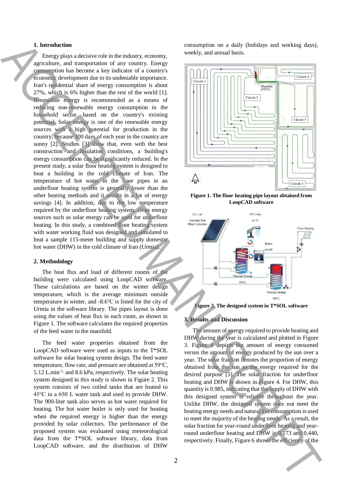#### **1. Introduction**

Energy plays a decisive role in the industry, economy, agriculture, and transportation of any country. Energy consumption has become a key indicator of a country's economic development due to its undeniable importance. Iran's residential share of energy consumption is about 27%, which is 6% higher than the rest of the world [1]. Renewable energy is recommended as a means of reducing non-renewable energy consumption in the household sector, based on the country's existing potential. Solar energy is one of the renewable energy sources with a high potential for production in the country; because 300 days of each year in the country are sunny [2]. Studies [3] show that, even with the best construction and insulation conditions, a building's energy consumption can be significantly reduced. In the present study, a solar floor heating system is designed to heat a building in the cold climate of Iran. The temperature of hot water in the floor pipes in an underfloor heating system is generally lower than the other heating methods and it results in a lot of energy savings [4]. In addition, due to the low temperature required by the underfloor heating system, clean energy sources such as solar energy can be used for underfloor heating. In this study, a combined floor heating system with water working fluid was designed and simulated to heat a sample 115-meter building and supply domestic hot water (DHW) in the cold climate of Iran (Urmia). **1.** Interaction control of the effective limit of the effective limit of the effective limit of the effective limit of the effective limit of the effective limit of the effective limit of the effective limit of the ACCEP

#### **2. Methodology**

The heat flux and load of different rooms of the building were calculated using LoopCAD software. These calculations are based on the winter design temperature, which is the average minimum outside temperature in winter, and -8.6℃ is listed for the city of Urmia in the software library. The pipes layout is done using the values of heat flux in each room, as shown in Figure 1. The software calculates the required properties of the feed water to the manifold.

The feed water properties obtained from the LoopCAD software were used as inputs to the T\*SOL software for solar heating system design. The feed water temperature, flow rate, and pressure are obtained at 59℃, 5.12 L.min-1, and 8.6 kPa, respectively. The solar heating system designed in this study is shown in Figure 2. This system consists of two coiled tanks that are heated to 45℃ in a 650 L water tank and used to provide DHW. The 900-liter tank also serves as hot water required for heating. The hot water boiler is only used for heating when the required energy is higher than the energy provided by solar collectors. The performance of the proposed system was evaluated using meteorological data from the T\*SOL software library, data from LoopCAD software, and the distribution of DHW

consumption on a daily (holidays and working days), weekly, and annual basis.



**Figure 1. The floor heating pipe layout obtained from LoopCAD software**



**Figure 2. The designed system in T\*SOL software**

#### **3. Results and Discussion**

The amount of energy required to provide heating and DHW during the year is calculated and plotted in Figure 3. Figure 4 depicts the amount of energy consumed versus the amount of energy produced by the sun over a year. The solar fraction denotes the proportion of energy obtained from the sun to the energy required for the desired purpose [5]. The solar fraction for underfloor heating and DHW is shown in Figure 4. For DHW, this quantity is 0.985, indicating that the supply of DHW with this designed system is reliable throughout the year. Unlike DHW, the designed system does not meet the heating energy needs and natural gas consumption is used to meet the majority of the heating needs. As a result, the solar fraction for year-round underfloor heating and yearround underfloor heating and DHW is 0.173 and 0.440,